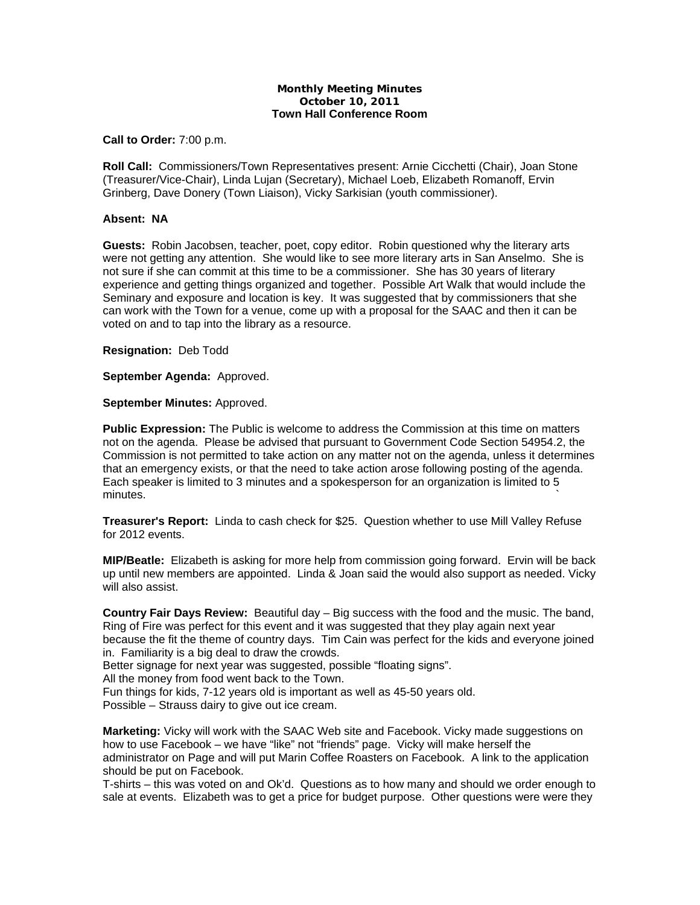## **Monthly Meeting Minutes October 10, 2011 Town Hall Conference Room**

## **Call to Order:** 7:00 p.m.

**Roll Call:** Commissioners/Town Representatives present: Arnie Cicchetti (Chair), Joan Stone (Treasurer/Vice-Chair), Linda Lujan (Secretary), Michael Loeb, Elizabeth Romanoff, Ervin Grinberg, Dave Donery (Town Liaison), Vicky Sarkisian (youth commissioner).

## **Absent: NA**

**Guests:** Robin Jacobsen, teacher, poet, copy editor. Robin questioned why the literary arts were not getting any attention. She would like to see more literary arts in San Anselmo. She is not sure if she can commit at this time to be a commissioner. She has 30 years of literary experience and getting things organized and together. Possible Art Walk that would include the Seminary and exposure and location is key. It was suggested that by commissioners that she can work with the Town for a venue, come up with a proposal for the SAAC and then it can be voted on and to tap into the library as a resource.

**Resignation:** Deb Todd

**September Agenda:** Approved.

**September Minutes:** Approved.

**Public Expression:** The Public is welcome to address the Commission at this time on matters not on the agenda. Please be advised that pursuant to Government Code Section 54954.2, the Commission is not permitted to take action on any matter not on the agenda, unless it determines that an emergency exists, or that the need to take action arose following posting of the agenda. Each speaker is limited to 3 minutes and a spokesperson for an organization is limited to 5  $m$ inutes.  $\sim$ 

**Treasurer's Report:** Linda to cash check for \$25. Question whether to use Mill Valley Refuse for 2012 events.

**MIP/Beatle:** Elizabeth is asking for more help from commission going forward. Ervin will be back up until new members are appointed. Linda & Joan said the would also support as needed. Vicky will also assist.

**Country Fair Days Review:** Beautiful day – Big success with the food and the music. The band, Ring of Fire was perfect for this event and it was suggested that they play again next year because the fit the theme of country days. Tim Cain was perfect for the kids and everyone joined in. Familiarity is a big deal to draw the crowds.

Better signage for next year was suggested, possible "floating signs".

All the money from food went back to the Town.

Fun things for kids, 7-12 years old is important as well as 45-50 years old.

Possible – Strauss dairy to give out ice cream.

**Marketing:** Vicky will work with the SAAC Web site and Facebook. Vicky made suggestions on how to use Facebook – we have "like" not "friends" page. Vicky will make herself the administrator on Page and will put Marin Coffee Roasters on Facebook. A link to the application should be put on Facebook.

T-shirts – this was voted on and Ok'd. Questions as to how many and should we order enough to sale at events. Elizabeth was to get a price for budget purpose. Other questions were were they